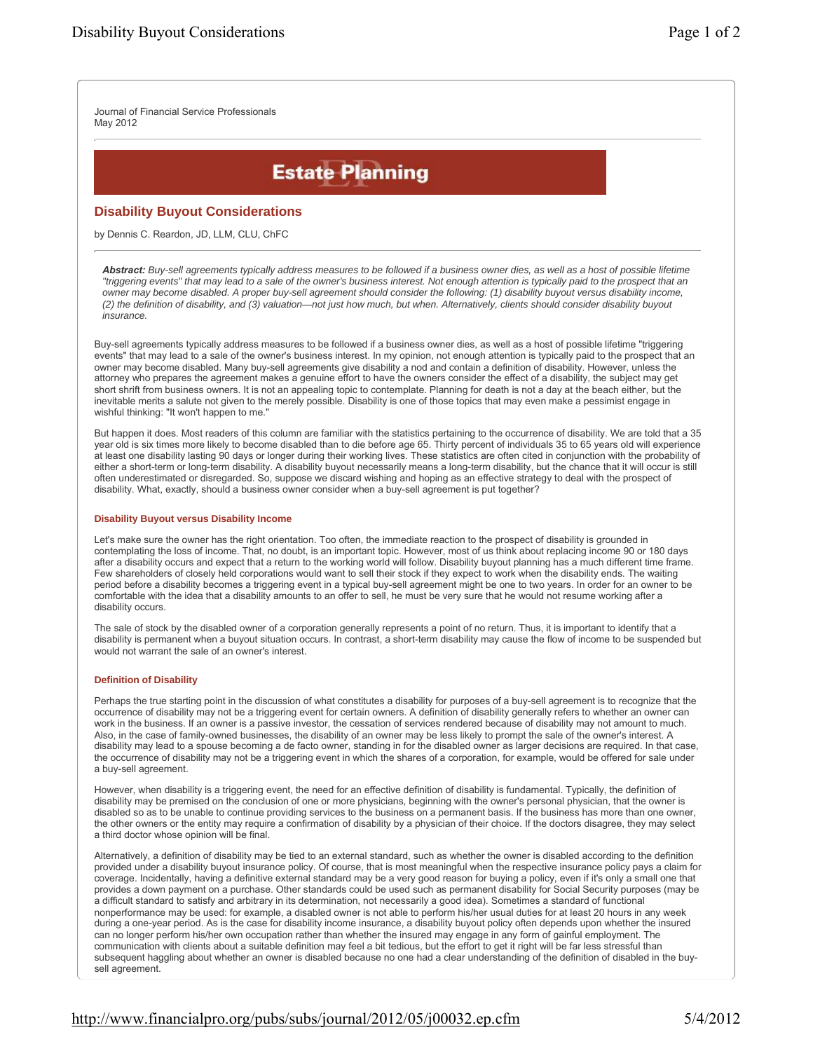Journal of Financial Service Professionals May 2012

# **Estate Planning**

# **Disability Buyout Considerations**

by Dennis C. Reardon, JD, LLM, CLU, ChFC

Abstract: Buy-sell agreements typically address measures to be followed if a business owner dies, as well as a host of possible lifetime "triggering events" that may lead to a sale of the owner's business interest. Not enough attention is typically paid to the prospect that an *owner may become disabled. A proper buy-sell agreement should consider the following: (1) disability buyout versus disability income, (2) the definition of disability, and (3) valuation—not just how much, but when. Alternatively, clients should consider disability buyout insurance.*

Buy-sell agreements typically address measures to be followed if a business owner dies, as well as a host of possible lifetime "triggering events" that may lead to a sale of the owner's business interest. In my opinion, not enough attention is typically paid to the prospect that an owner may become disabled. Many buy-sell agreements give disability a nod and contain a definition of disability. However, unless the attorney who prepares the agreement makes a genuine effort to have the owners consider the effect of a disability, the subject may get short shrift from business owners. It is not an appealing topic to contemplate. Planning for death is not a day at the beach either, but the inevitable merits a salute not given to the merely possible. Disability is one of those topics that may even make a pessimist engage in wishful thinking: "It won't happen to me."

But happen it does. Most readers of this column are familiar with the statistics pertaining to the occurrence of disability. We are told that a 35 year old is six times more likely to become disabled than to die before age 65. Thirty percent of individuals 35 to 65 years old will experience at least one disability lasting 90 days or longer during their working lives. These statistics are often cited in conjunction with the probability of either a short-term or long-term disability. A disability buyout necessarily means a long-term disability, but the chance that it will occur is still often underestimated or disregarded. So, suppose we discard wishing and hoping as an effective strategy to deal with the prospect of disability. What, exactly, should a business owner consider when a buy-sell agreement is put together?

#### **Disability Buyout versus Disability Income**

Let's make sure the owner has the right orientation. Too often, the immediate reaction to the prospect of disability is grounded in contemplating the loss of income. That, no doubt, is an important topic. However, most of us think about replacing income 90 or 180 days after a disability occurs and expect that a return to the working world will follow. Disability buyout planning has a much different time frame. Few shareholders of closely held corporations would want to sell their stock if they expect to work when the disability ends. The waiting period before a disability becomes a triggering event in a typical buy-sell agreement might be one to two years. In order for an owner to be comfortable with the idea that a disability amounts to an offer to sell, he must be very sure that he would not resume working after a disability occurs.

The sale of stock by the disabled owner of a corporation generally represents a point of no return. Thus, it is important to identify that a disability is permanent when a buyout situation occurs. In contrast, a short-term disability may cause the flow of income to be suspended but would not warrant the sale of an owner's interest.

#### **Definition of Disability**

Perhaps the true starting point in the discussion of what constitutes a disability for purposes of a buy-sell agreement is to recognize that the occurrence of disability may not be a triggering event for certain owners. A definition of disability generally refers to whether an owner can work in the business. If an owner is a passive investor, the cessation of services rendered because of disability may not amount to much. Also, in the case of family-owned businesses, the disability of an owner may be less likely to prompt the sale of the owner's interest. A disability may lead to a spouse becoming a de facto owner, standing in for the disabled owner as larger decisions are required. In that case, the occurrence of disability may not be a triggering event in which the shares of a corporation, for example, would be offered for sale under a buy-sell agreement.

However, when disability is a triggering event, the need for an effective definition of disability is fundamental. Typically, the definition of disability may be premised on the conclusion of one or more physicians, beginning with the owner's personal physician, that the owner is disabled so as to be unable to continue providing services to the business on a permanent basis. If the business has more than one owner, the other owners or the entity may require a confirmation of disability by a physician of their choice. If the doctors disagree, they may select a third doctor whose opinion will be final.

Alternatively, a definition of disability may be tied to an external standard, such as whether the owner is disabled according to the definition provided under a disability buyout insurance policy. Of course, that is most meaningful when the respective insurance policy pays a claim for coverage. Incidentally, having a definitive external standard may be a very good reason for buying a policy, even if it's only a small one that provides a down payment on a purchase. Other standards could be used such as permanent disability for Social Security purposes (may be a difficult standard to satisfy and arbitrary in its determination, not necessarily a good idea). Sometimes a standard of functional nonperformance may be used: for example, a disabled owner is not able to perform his/her usual duties for at least 20 hours in any week during a one-year period. As is the case for disability income insurance, a disability buyout policy often depends upon whether the insured can no longer perform his/her own occupation rather than whether the insured may engage in any form of gainful employment. The communication with clients about a suitable definition may feel a bit tedious, but the effort to get it right will be far less stressful than subsequent haggling about whether an owner is disabled because no one had a clear understanding of the definition of disabled in the buysell agreement.

# <http://www.financialpro.org/pubs/subs/journal/2012/05/j00032.ep.cfm> 5/4/2012